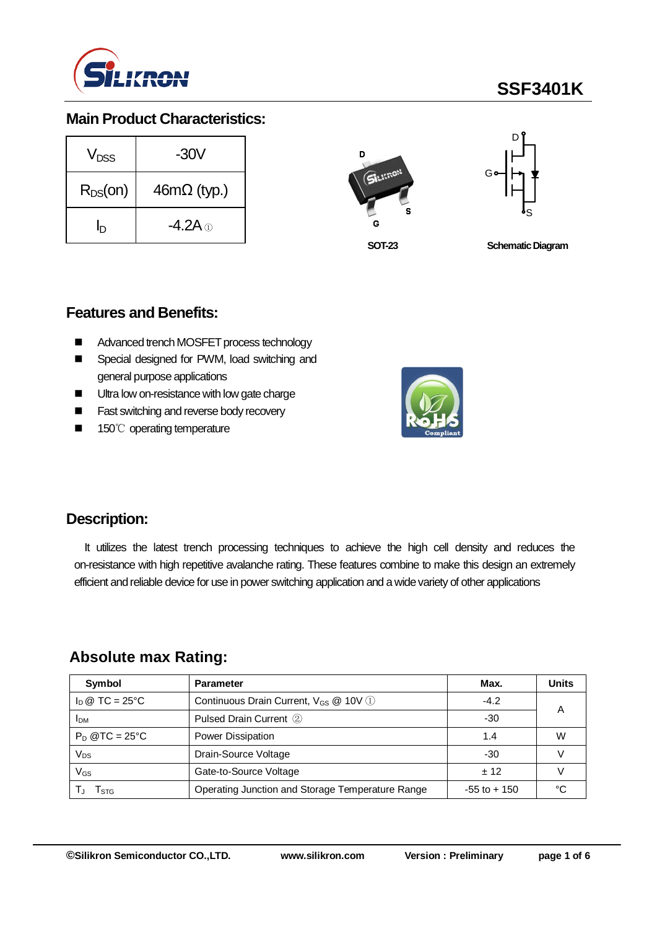

# **SSF3401K**

## **Main Product Characteristics:**

| V <sub>nss</sub> | -30V                      |  |  |  |  |
|------------------|---------------------------|--|--|--|--|
| $R_{DS}(on)$     | $46m\Omega$ (typ.)        |  |  |  |  |
| hי               | -4.2A $\scriptstyle\odot$ |  |  |  |  |





**SOT-23**

**Schematic Diagram** 

## **Features and Benefits:**

- Advanced trench MOSFET process technology
- Special designed for PWM, load switching and general purpose applications
- Ultra low on-resistance with low gate charge
- **Fast switching and reverse body recovery**
- 150℃ operating temperature



## **Description:**

It utilizes the latest trench processing techniques to achieve the high cell density and reduces the on-resistance with high repetitive avalanche rating. These features combine to make this design an extremely efficient and reliable device for use in power switching application and a wide variety of other applications

## **Absolute max Rating:**

| Symbol                         | <b>Parameter</b>                                  | Max.            | <b>Units</b> |
|--------------------------------|---------------------------------------------------|-----------------|--------------|
| $I_D \otimes TC = 25^{\circ}C$ | Continuous Drain Current, V <sub>GS</sub> @ 10V 1 | $-4.2$          | А            |
| <b>IDM</b>                     | Pulsed Drain Current 2                            | -30             |              |
| $P_D$ @TC = 25°C               | Power Dissipation                                 | 1.4             | W            |
| Vps                            | Drain-Source Voltage                              | -30             |              |
| VGs                            | Gate-to-Source Voltage                            | $+12$           |              |
| l stg                          | Operating Junction and Storage Temperature Range  | $-55$ to $+150$ | ∘∩           |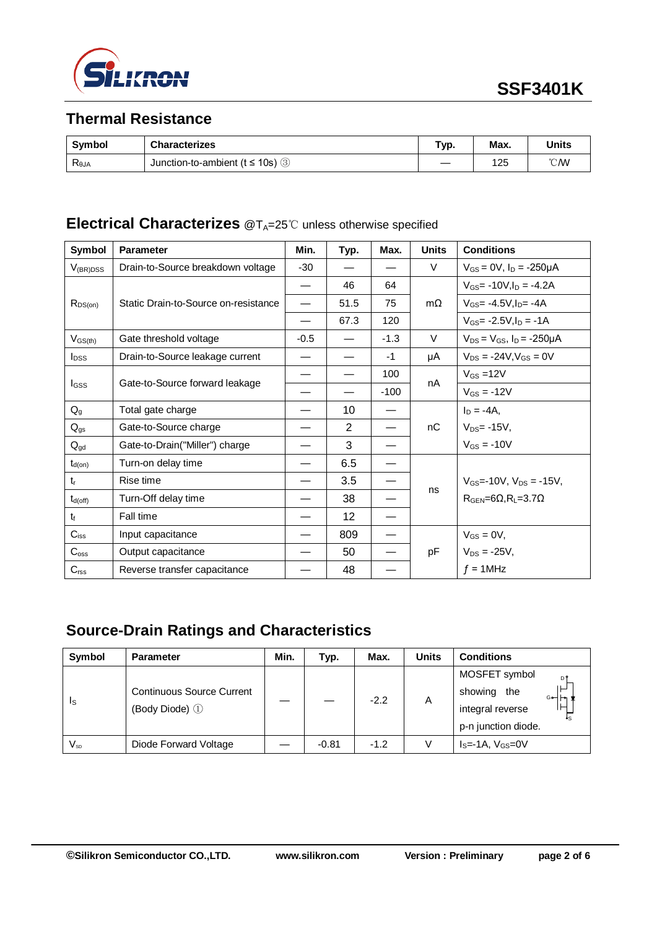

## **Thermal Resistance**

| <b>Symbol</b>  | <b>Characterizes</b>                  | Гур. | Max. | Units          |
|----------------|---------------------------------------|------|------|----------------|
| $R_{\theta$ JA | Junction-to-ambient ( $t \le 10$ s) 3 |      | 125  | $^{\circ}$ CMV |

## **Electrical Characterizes** @T<sub>A</sub>=25℃ unless otherwise specified

| <b>Symbol</b>           | <b>Parameter</b>                     | Min.   | Typ.           | Max.   | <b>Units</b> | <b>Conditions</b>                         |  |
|-------------------------|--------------------------------------|--------|----------------|--------|--------------|-------------------------------------------|--|
| $V_{(BR)DSS}$           | Drain-to-Source breakdown voltage    | $-30$  |                |        | V            | $V_{GS} = 0V$ , $I_D = -250 \mu A$        |  |
|                         | Static Drain-to-Source on-resistance |        | 46             | 64     |              | $V_{GS}$ = -10V, $I_D$ = -4.2A            |  |
| $R_{DS(on)}$            |                                      |        | 51.5           | 75     | $m\Omega$    | $V_{GS} = -4.5V$ . I <sub>D</sub> $= -4A$ |  |
|                         |                                      |        | 67.3           | 120    |              | $V_{GS}$ - 2.5V, $I_D$ = -1A              |  |
| $V_{GS(th)}$            | Gate threshold voltage               | $-0.5$ |                | $-1.3$ | V            | $V_{DS} = V_{GS}$ , $I_D = -250 \mu A$    |  |
| <b>I</b> <sub>DSS</sub> | Drain-to-Source leakage current      |        |                | $-1$   | μA           | $V_{DS} = -24V$ , $V_{GS} = 0V$           |  |
|                         | Gate-to-Source forward leakage       |        |                | 100    | nA           | $V_{GS} = 12V$                            |  |
| I <sub>GSS</sub>        |                                      |        |                | $-100$ |              | $V_{GS} = -12V$                           |  |
| $Q_{g}$                 | Total gate charge                    |        | 10             |        |              | $I_D = -4A$ ,                             |  |
| $Q_{gs}$                | Gate-to-Source charge                |        | $\overline{2}$ |        | nC           | $V_{DS}$ = -15V,                          |  |
| $Q_{gd}$                | Gate-to-Drain("Miller") charge       |        | 3              |        |              | $V_{GS} = -10V$                           |  |
| $t_{d(on)}$             | Turn-on delay time                   |        | 6.5            |        |              |                                           |  |
| $t_{r}$                 | Rise time                            |        | 3.5            |        | ns           | $V_{GS}$ =-10V, $V_{DS}$ = -15V,          |  |
| $t_{d(off)}$            | Turn-Off delay time                  |        | 38             |        |              | $RGEN=6\Omega, RL=3.7\Omega$              |  |
| $t_{\rm f}$             | Fall time                            |        | 12             |        |              |                                           |  |
| $C_{iss}$               | Input capacitance                    |        | 809            |        |              | $V_{GS} = 0V$ ,                           |  |
| $C_{\rm oss}$           | Output capacitance                   |        | 50             |        | pF           | $V_{DS} = -25V,$                          |  |
| $C_{\text{rss}}$        | Reverse transfer capacitance         |        | 48             |        |              | $f = 1$ MHz                               |  |

## **Source-Drain Ratings and Characteristics**

| Symbol                  | <b>Parameter</b>                                   | Min. | Typ.    | Max.   | Units | <b>Conditions</b>            |
|-------------------------|----------------------------------------------------|------|---------|--------|-------|------------------------------|
| $\mathsf{I}_\mathsf{S}$ | <b>Continuous Source Current</b><br>(Body Diode) 1 |      |         | $-2.2$ | A     | MOSFET symbol<br>DÎ          |
|                         |                                                    |      |         |        |       | ⊢⊢<br>showing<br>the<br>᠀⊶ᡰ᠇ |
|                         |                                                    |      |         |        |       | integral reverse             |
|                         |                                                    |      |         |        |       | p-n junction diode.          |
| $V_{\textrm{\tiny SD}}$ | Diode Forward Voltage                              |      | $-0.81$ | $-1.2$ | V     | $IS=-1A, VGS=0V$             |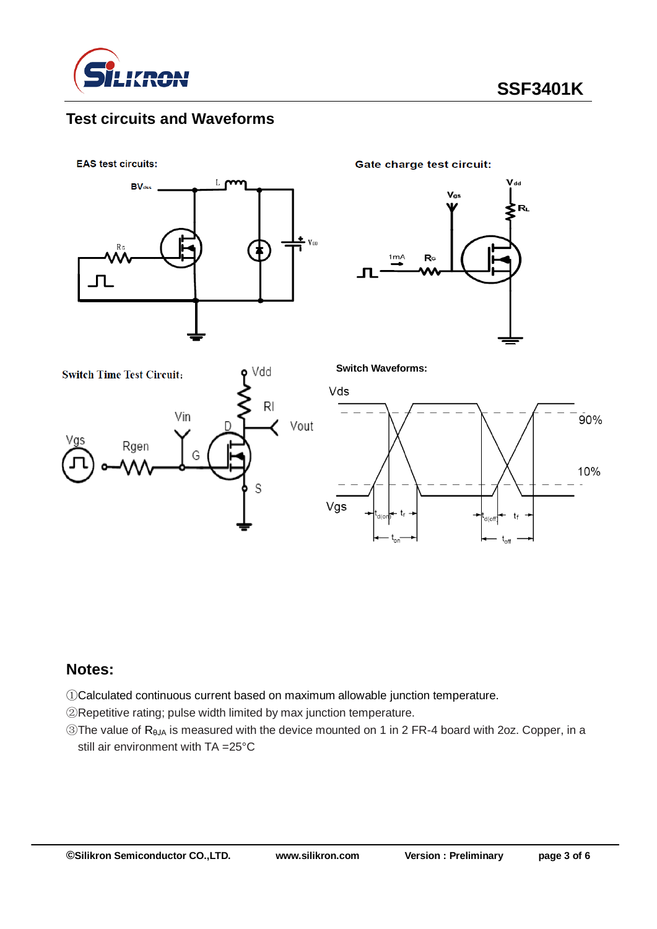

## **Test circuits and Waveforms**

**EAS test circuits:** 



**Gate charge test circuit:** 









#### **Notes:**

①Calculated continuous current based on maximum allowable junction temperature.

②Repetitive rating; pulse width limited by max junction temperature.

③The value of RθJA is measured with the device mounted on 1 in 2 FR-4 board with 2oz. Copper, in a still air environment with TA =25°C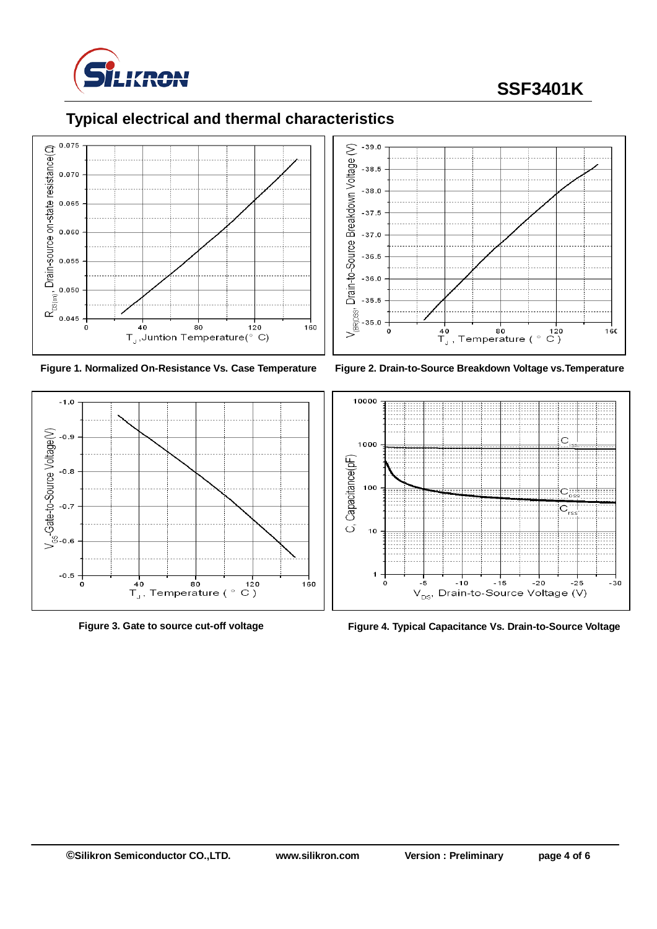

# **SSF3401K**

# **Typical electrical and thermal characteristics**













**Figure 3. Gate to source cut-off voltage Figure 4. Typical Capacitance Vs. Drain-to-Source Voltage**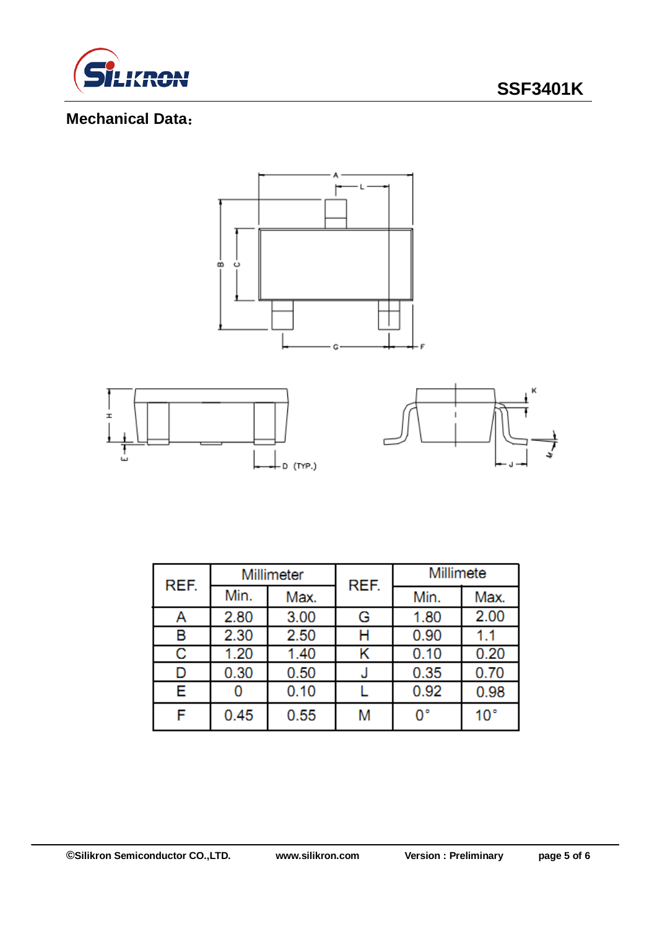

# **SSF3401K**

## **Mechanical Data**:



| REF. | Millimeter |      | REF. | Millimete |              |  |
|------|------------|------|------|-----------|--------------|--|
|      | Min.       | Max. |      | Min.      | Max.         |  |
| Α    | 2.80       | 3.00 | G    | 1.80      | 2.00         |  |
| в    | 2.30       | 2.50 | н    | 0.90      | 1.1          |  |
| С    | 1.20       | 1.40 | Κ    | 0.10      | 0.20         |  |
| D    | 0.30       | 0.50 | J    | 0.35      | 0.70         |  |
| Е    | 0          | 0.10 |      | 0.92      | 0.98         |  |
| F    | 0.45       | 0.55 | M    | 0°        | $10^{\circ}$ |  |